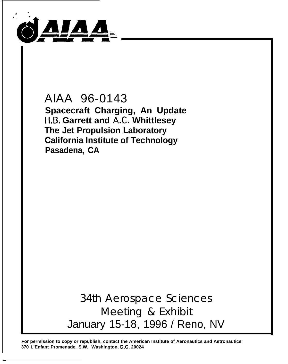

—

AlAA 96-0143 **Spacecraft Charging, An Update H.B. Garrett and A.C. Whittlesey The Jet Propulsion Laboratory California Institute of Technology Pasadena, CA**

> 34th Aerospace Sciences Meeting & Exhibit January 15-18, 1996 / Reno, NV

**For permission to copy or republish, contact the American Institute of Aeronautics and Astronautics 370 L'Enfant Promenade, S.W., Washington, D.C, 20024**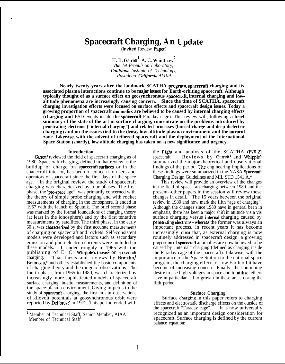# **Spacecraft Charging, An IJpdate**

**(Invited** Review Paper)

H. B. Garrett<sup>1</sup>, A. C. Whittlesey<sup>2</sup> **The Jet Propulsion Laboratory, California Institute of Technology,** *Pasadena, Calijomia 91109*

**Nearly twenty years after the landmark SCATHA program, spacecraft charging and its** associated plasma interactions continue to be major issues for Earth-orbiting spacecraft. Although **typically thought of as a surface effect on geosynchronous spacecraft internal charging and lowaltitude phenomena are increasingly causing concern. Since the time of SCATHA, spacecraft charging investigation efforts were focused on surface effects and spacecraft design issues. Today a growing proportion of spacecraft anonudies are believed to be caused by internal charging effects (charging and ESD events inside the spacecraft** Faraday cage). This review will, following **a brief summary of the state of the art in surface charging, concentrate on the problems introduced by penetrating electrons ("internal charging") and related processes (buried charge and deep dielectric charging) and on the issues tied to the densq low altitude plasma environment and the auroral** zone. Likewise, with the advent of tethered spacecraft and the deployment of the International **Space Station (shortly), low altitude charging has taken on a new significance and urgency.**

# **Introduction**

.

Garrett<sup>1</sup> reviewed the field of spacecraft charging as of 1980. Spacecraft charging, defined in that review as the buildup of charge on spacecraft surfaces or in the spacecraft interior, has been of concern to users and operators of spacecraft since the first days of the space age. In the original review, the study of spacecraft charging was characterized by four phases. The first phase, the "pre-space age", was primarily concerned with the theory of simple probe charging and with rocket measurements of charging in the ionosphere. It ended in 1957 with the launch of Sputnik. The brief second phase was marked by the formal foundations of charging theory (at least in the ionosphere) and by the first tentative measurements by satellites. The third phase, in the early 60's, was characterized by the first accurate measurements of charging on spacecraft and rockets. Self-consistent models were developed and factors such as secondary emission and photoelectron currents were included in these models. It ended roughly in 1965 with the publishing of E. C. Whipple's thesis<sup>2</sup> on spacecraft charging. That thesis and reviews by Brundin,<sup>3</sup> Bourdeau,<sup>4</sup> and others established the basic components of charging theory and the range of observations. The fourth phase, from 1965 to 1980, was characterized by increasingly more sophisticated models of spacecraft surface charging, in-situ measurements, and definition of the space plasma environment. Giving impetus to the study of spacecraft charging, the first in-situ observations of kilovolt potentials at geosynchronous orbit were reported by DeForest<sup>5</sup> in 1972. This period ended with

the ftight and analysis of the SCATHA (P78-2) spacecraft. Reviews by Garrett<sup>1</sup> and Whipple<sup>6</sup> summarized the major theoretical and observational findings of the period. The engineering implications of these findings were summarized in the NASA Spacecraft Charging Design Guidelines and MIL STD 1541 A.\*

This review will provide an overview of the changes in the field of spacecraft charging between 1980 and the present--other papers in the session will review these changes in detail. The 15 years between the original review in 1980 and now mark the fifth "age of charging". Although the changes since 1980 have in general been in emphasis, there has been a major shift in attitude vis a vis surface charging versus **internal** charging caused by penetrating electrons--whereas the former was always an important process, in recent years it has become increasingly clear that, as external charging is now routinely addressed in spacecraft design, a growing proportion of spacecraft anomalies are now believed to be caused by "internal" charging (defined as charging inside the Faraday cage of the spacecraft). Likewise, with the importance of the Space Station to the national space program, the charging effects of low Earth orbit have become of increasing concern. Finally, the continuing desire to use high voltages in space and to **utilize** tethers have in particular led to growth in these areas doring the fifth period.

# **Surface** Charging

Surface charging in this paper refers to charging effects and electrostatic discharge effects on the outside of the spacecraft "Faraday cage". It is now universally recognized as an important design consideration for spacecraft. Surface charging is defined by the current balance equation:

<sup>&</sup>lt;sup>1</sup> Member of Technical Staff, Senior Member, AIAA<sup>2</sup> Member of Technical Staff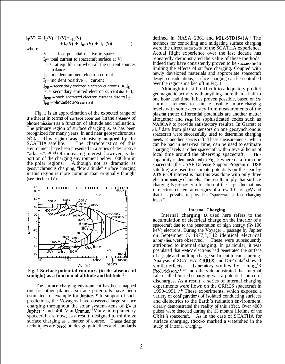$$
I_T(V) = I_E(V) - (I_I(V) + I_{SE}(V) + I_{BSE}(V) + I_{PH}(V))
$$
  
where (1)

where

 $V =$  surface potential relative to space  $I_1$ = total current to spacecraft surface at V;  $=$  O at equilibrium when all the current sources balance  $I<sub>R</sub>$  = incident ambient electron current  $I_1$  = incident positive ion current  ${\bf I_{SE}}$  = secondary emitted electron current  ${\rm due ~} {\bf I_{E}}$  $I_{SI}$  = secondary emitted electron current due to  $I_I$  $I_{RSE}$  = back scattered electron current due to  $I_{E}$  $I_{PH}$  = photoelectron current

Fig.  $1^{\circ}$  is an approximation of the expected range of the threat in terms of surface potential (in the absence of photoemission) as a function of altitude and inclination. The primary region of surface charging is, as has been recognized for many years, in and near geosynchronous orbit. This **region was extensively mapped by the** The characteristics of this environment have been presented in a series of descriptive "atlases". <sup>10-15</sup> Of increasing interest, however, is the portion of the charging environment below 1000 km in the polar regions. Although not as dramatic as geosynchronous charging, "low altitude" surface charging in this region is more common than originally thought (see Section IV).



**Fig. 1 Surface potential contours (in the absence of sunlight) as a function of altitude and latitude.9**

The surface charging environment has been mapped out for other planets--surface potentials have been estimated for example for Jupiter.<sup>16</sup> In support of such predictions, the Voyagers have observed large surface charging throughout the solar system--tens of kV at **Jupiter**<sup>17</sup> and -400 V at Uranus.<sup>18</sup>Many interplanetary spacecraft are now, as a result, designed to minimize surface charging as a matter of course. These design techniques are based on design guidelines and standards

defined in NASA 2361<sup>7</sup> and MIL-STD1541A.8 The methods for controlling and mitigating surface charging were the direct outgrowth of the  $\overline{SCATHA}$  experience. Actual flight experience over the last decade has repeatedly demonstrated the value of these methods. Indeed they have consistently proven to be successful in limiting the effects of surface charging. Coupled with newly developed materials and appropriate spacecraft design considerations, surface charging can be controlled over the regions marked off in Fig. 1,

Although it is still difficult to adequately predict geomagnetic activity with anything more than a half to one hour lead time, it has proven possible, based on insitu measurements, to estimate absolute surface charging levels with some accuracy from measurements of the plasma (note: differential potentials are another matter altogether and requ ire sophisticated codes such as NASCAP to provide satisfactory results). In Garrett et  $a!$ ,, $1^9$  data from plasma sensors on one geosynchronous spacecraft were successfully used to determine charging levels at another spacecraft. These measurements, which can be had in near-real time, can be used to estimate charging levels at other spacecraft within several hours of local time around the observing spacecraft. This capability is demonstrated in Fig.  $2$  where data from one spacecraft (the USAF Defense Support Program or DSP satellite) are used to estimate potentials on the near-by ATS-6. Of interest is that this was done with only three electron energy channels. The results imply that surface charging is primaril y a function of the large fluctuations in electron current at energies of a few 10's of keV and that it is possible to provide a "spacecraft surface charging index".

## **Internal Charging**

Internal charging as used here refers to the accumulation of electrical charge on the interior of a spacecraft due to the penetration of high energy  $(E > 100$ keV) electrons. During the Voyager 1 passage by Jupiter on September 5,  $1977, ^{20, 21}42$  identical electrical anomalies were observed. These were subsequently attributed to internal charging. In particular, it was postulated that -MeV electrons had penetrated the surface of a cable and built up charge sufficient to cause arcing. Analysis of SCATHA, CRRES, and DSP data<sup>2</sup> showed similar effects. Laboratory studies by Leung,  $3$ Frederickson,<sup>24-26</sup> and others demonstrated that internal (also called buried) charging was a potential source of discharges. As a result, a series of internal charging experiments were flown on the CRRES spacecraft in 1990-1991 ?6 These experiments, which exposed a variety of configumtions of isolated conducting surfaces and dielectrics to the Earth's radiation environment, clearly demonstrated the reality of this effect. Over 4000 pulses were detected during the 13 months lifetime of the **CRRI**S spacecraft. As in the case of SCATHA for surface charging, CRRES marked a watershed in the study of internal charging.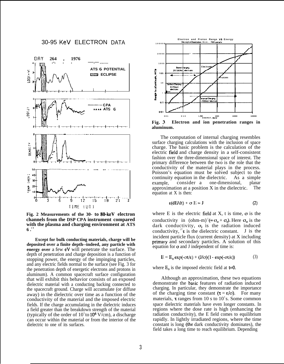



**Fig. 2 Measurements of the 30- to 80-keV electron channels from the DSP CPA instrument compared with the plasma and charging environment at ATS**  $6 \cdot 1$ <sup>9</sup>

**Except for bulk conducting materials, charge will be deposited over a finite depth--indeed, any particle with energy over** a few eV will penetrate the surface. The depth of penetration and charge deposition is a function of stopping power, the energy of the impinging particles, and any electric fields normal to the surface (see Fig. 3 for the penetration depth of energetic electrons and protons in aluminum). A common spacecraft surface configuration that will exhibit this behavior consists of an exposed dielectric material with a conducting backing connected to the spacecraft ground. Charge will accumulate (or diffuse away) in the dielectric over time as a function of the conductivity of the material and the imposed electric fields. If the charge accumulating in the dielectric induces a field greater than the breakdown strength of the material (typically of the order of  $10^5$  to  $10^6$  V/cm), a discharge can occur within the material or from the interior of the dielectric to one of its surfaces.



**aluminum.**

The computation of internal charging resembles surface charging calculations with the inclusion of space charge. The basic problem is the calculation of the electric field and charge density in a self-consistent fashion over the three-dimensional space of interest. The primary difference between the two is the role that the conductivity of the material plays in the process. Poisson's equation must be solved subject to the continuity equation in the dielectric. As a simple example, consider a one-dimensional, planar approximation at a position X in the dielectric. The equation at X is then:

$$
\varepsilon(\text{d}E/\text{d}t) + \sigma E = J \tag{2}
$$

where E is the electric field at X, t is time,  $\sigma$  is the conductivity in  $(\text{ohm-m})^3 (= \sigma_0 + \sigma_1)$ . Here  $\sigma_0$  is the dark conductivity,  $\sigma$  is the radiation induced conductivity,  $^{27}$ **e** is the dielectric constant. J is the incident particle flux (current density) at X including primary and secondary particles. A solution of this equation for o and J independent of time is:

$$
E = E_0 \exp(-\alpha t/\epsilon) + (J/\sigma)(1 - \exp(-\alpha t/\epsilon))
$$
 (3)

where  $E_0$  is the imposed electric field at  $t=0$ .

Although an approximation, these two equations demonstrate the basic features of radiation induced charging. In particular, they demonstrate the importance of the charging time constant  $(\tau = \varepsilon/\sigma)$ . For many materials,  $\tau$  ranges from 10 s to 10<sup>3</sup>s. Some common space dielectric materials have even longer constants. In regions where the dose rate is high (enhancing the radiation conductivity), the E field comes to equilibrium rapidly. In lightly irradiated regions, where the time constant is long (the dark conductivity dominates), the field takes a long time to reach equilibrium. Depending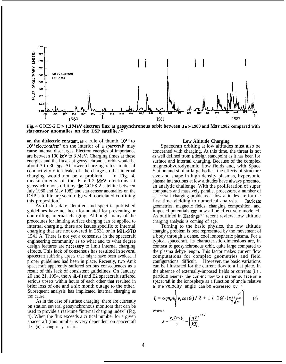

**Fig.** 4 GOES-2 E >1.2 MeV **electron flux at geosynchronous orbit between July 1980 and May 1982 compared with star-sensor anomalies on the DSP satellite.**<sup>22</sup>  **-**

**on the dielectric constant, as** a rule of thumb,  $10^{10}$  to  $10^{11}$  electrons/cm<sup>2</sup> on the interior of a spacecraft may cause internal discharges. Electron energies of importance are between 100 keV to 3 MeV. Charging times at these energies and the fluxes at geosynchronous orbit would be about 3 to 30 hrs. At lower charging rates, material conductivity often leaks off the charge so that internal charging would not be a problem. In Fig. 4, measurements of the  $E > 1.2$  MeV electrons at geosynchronous orbit by the GOES-2 satellite between July 1980 and May 1982 and star-sensor anomalies on the DSP satellite are seen to be well correlated confining this proposition.<sup>22</sup>

As of this date, detailed and specific published guidelines have not been formulated for preventing or controlling internal charging. Although many of the procedures for limiting surface charging can be applied to internal charging, there are issues specific to internal charging that are not covered in 2631 or in MIL-STD 1541 A. There is not yet a consensus in the spacecraft engineering community as to what and to what degree design features are necessary to limit internal charging effects. This lack of consensus has resulted in several spacecraft suffering upsets that might have been avoided if proper guidelines had been in place. Recently, two Anik spacecraft apparently suffered serious consequences as a result of this lack of consistent guidelines. On January 20 and 21, 1994, the Anik-El and E2 spacecraft suffered serious upsets within hours of each other that resulted in brief loss of one and a six month outage to the other. Subsequent analysis has implicated internal charging as the cause.

As in the case of surface charging, there are currently on station several geosynchronous monitors that can be used to provide a real-time "internal charging index" (Fig. 4). When the flux exceeds a critical number for a given spacecraft (this number is very dependent on spacecraft design), arcing may occur.

# **Low Altitude Charging**

Spacecraft orbiting at low altitudes must also be concerned with charging. At this time, the threat is not as well defined from a design standpoint as it has been for surface and internal charging. Because of the complex magnetohydrodynamic flow fields and, with Space Station and similar large bodies, the effects of structure size and shape in high density plasmas, hypersonic plasma interactions at low altitudes have always presented an analytic challenge. With the proliferation of super computers and massively parallel processors, a number of spacecraft charging problems at low altitudes are for the first time yielding to numerical analysis. Intricate geometries, magnetic fields, changing composition, and imposed potentials can now all be effectively modeled. As outlined in Hastings'28 recent review, low altitude charging analysis is coming of age.

Turning to the basic physics, the low altitude charging problem is best represented by the movement of a body through a dense, cool ionospheric plasma. For a typical spacecraft, its characteristic dimensions are, in contrast to geosynchronous orbit, quite large compared to the plasma debye length. This factor makes current flow computations for complex geometries and field configurations difficult. However, the basic variations can be illustrated for the current flow to a flat plate. In the absence of externally-imposed fields or currents (i.e., particle beams), the current flow to a planar surface on a spacecraft in the ionosphere as a function of angle relative to the velocity angle can be expressed by:

$$
I_i = \alpha q n_i A_i \bigg| \nu_s \cos \theta (1/2 + 1/2 \mathcal{Q} - (x)) + \frac{x}{2\sqrt{\pi}} \bigg| \qquad (4)
$$

where:

$$
\lambda = \frac{v_s \cos \theta}{a} - \left(\frac{qV}{kT_i}\right)^{1/2}
$$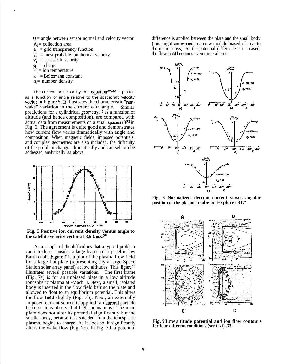$\theta$  = angle between sensor normal and velocity vector  $A_i$  = collection area

- $a = grid$  transparency function
- $a =$  most probable ion thermal velocity
- $v_8$  = spacecraft velocity
- $\mathbf{q}$  = charge

,

- $T_i$  = ion temperature
- $k =$ **Boltzmann** constant
- $n_i$  = number density

The current predicted by this equation<sup>29,30</sup> is plotted as a function of angle relative to the spacecraft velocity vector in Figure 5. It illustrates the characteristic "ramwake" variation in the current with angle. Similar predictions for a cylindrical geometry,<sup>31</sup> as a function of altitude (and hence composition), are compared with actual data from measurements on a small spacecraft<sup>32</sup> in Fig. 6. The agreement is quite good and demonstrates how current flow varies dramatically with angle and composition. When magnetic fields, imposed potentials, and complex geometries are also included, the difficulty of the problem changes dramatically and can seldom be addressed analytically as above.



**Fig.** 5 **Positive ion current density versus angle to the satellite velocity vector at 3.6 km/s.30**

As a sample of the difficulties that a typical problem can introduce, consider a large biased solar panel in low Earth orbit. Figure 7 is a plot of the plasma flow field for a large flat plate (representing say a large Space Station solar array panel) at low altitudes. This figure<sup>33</sup> illustrates several possible variations. The first frame (Fig, 7a) is for an unbiased plate in a low altitude ionospheric plasma at -Mach 8. Next, a small, isolated body is inserted in the flow field behind the plate and allowed to float to an equilibrium potential. This alters the flow field slightly (Fig. 7b). Next, an externally imposed current source is applied (an auroral particle beam such as observed at high inclinations). The main plate does not alter its potential significantly but the smaller body, because it is shielded from the ionospheric plasma, begins to charge. As it does so, it significantly alters the wake flow (Fig. 7c). In Fig. 7d, a potential

difference is applied between the plate and the small body (this might conespond to a crew module biased relative to the main arrays). As the potential difference is increased, the flow field becomes even more altered.



**Fig. 6 Normalized electron current versus angular position of the plasma probe on Explorer 31.<sup>32</sup>**



**Fig. 7 LOW altitude potential and ion flow contours for four different conditions (see text) .33**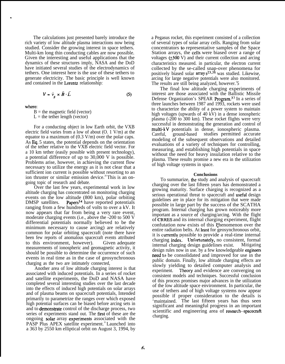The calculations just presented barely introduce the rich variety of low altitude plasma interactions now being studied. Consider the growing interest in space tethers. Multi-km long thin conducting cables are now possible. Given the interesting and useful applications that the dynamics of these structures imply, NASA and the DoD have initiated several studies of the electrodynamics of tethers. One interest here is the use of these tethers to generate electricity. The basic principle is well known and contained in the Lorentz relationship:

$$
V = \vec{v}_s \times \vec{B} \cdot \vec{L} \tag{5}
$$

where:

.

 $B =$  the magnetic field (vector)  $L =$  the tether length (vector)

For a conducting object in low Earth orbit, the VXB electric field varies from a low of about (O. 1 V/m) at the equator to a maximum of  $(0.3 \text{ V/m})$  over the polar caps. As Eq. 5 states, the potential depends on the orientation of the tether relative to the VXB electric field vector. For a 10 km tether (easily possible with present technology), a potential difference of up to 30,000 V is possible. Problems arise, however, in achieving the current flow necessary to utilize the energy as it is not clear that a sufficient ion current is possible without resorting to an ion thruster or similar emission device.<sup>28</sup> This is an ongoing topic of research and debate.

Over the last few years, experimental work in low altitude charging has concentrated on monitoring charging events on the low altitude  $(800 \text{ km})$ , polar orbiting DMSP satellites. **Papers**<sup>34</sup> have reported potentials Papers<sup>34</sup> have reported potentials ranging from a few hundreds of volts to over a kV. It now appears that far from being a very rare event, moderate charging events (i.e., above the -200 to 500 V differential potentials normally believed to be the minimum necessary to cause arcing) are relatively common for polar orbiting spacecraft (note there have been few reports of anomalous spacecraft events attributed to this environment, however). Given adequate measurements of ionospheric and geomagnetic activity, it should be possible to determine the occurrence of such events in real time as in the case of geosynchronous charging as the two are intimately connected,

Another area of low altitude charging interest is that associated with induced potentials. In a series of rocket and satellite experiments, the DoD and NASA have completed several interesting studies over the last decade into the effects of induced high potentials on solar arrays and of plasma beams on spacecraft potentials, Intended primarily to parametrize the ranges over which exposed high potential surfaces can be biased before arcing sets in and to demonstrate control of the discharge process, two series of experiments stand out. The first of these are the ongoing solar array experiments associated with the PASP Plus APEX satellite experiment.<sup>35</sup> Launched into a 363 by 2550 km elliptical orbit on August 3, 1994, by

a Pegasus rocket, this experiment consisted of a collection of several types of solar array cells. Ranging from solar concentrators to representative samples of the Space Station arrays, the cells were biased over a range of voltages  $(+500 \text{ V})$  and their current collection and arcing characteristics measured. in particular, the electron current collected by the se-called snap-over phenomena for positively biased solar  $\arctan s^{23,36}$  was studied. Likewise, arcing for large negative potentials were also monitored. The results are still being analyzed, however.<sup>3</sup>5

The final low altitude charging experiments of interest are those associated with the Ballistic Missile Defense Organization's SPEAR Program.37 In a series of three launches between 1987 and 1993, rockets were used to characterize the ability of a power system to maintain high voltages (upwards of 40 kV) in a dense ionospheric plasma (-200 to 300 km). These rocket flights were very successful in demonstrating the generation and control of multi-kV potentials in dense, ionospheric plasma. Careful, ground-based studies permitted accurate modeling of the subsequent observations and detailed evaluations of a variety of techniques for controlling, measuring, and establishing high potentials in space without the need for heavy insulation relative to the plasma. These results promise a new era in the utilization of high voltage systems in space.

#### **Conclusions**

To summarize, the study and analysis of spacecraft charging over the last fifteen years has demonstrated a growing maturity. Surface charging is recognized as a serious operational threat to spacecraft and usefid design guidelines are in place for its mitigation that were made possible in large part by the success of the SCATHA program. Internal charging has grown noticeably more important as a source of charging/arcing. With the flight of CRRES and its internal charging experiment, flight confutation now exists of this Phenomenon over the entire radiation belts. At least for geosynchronous orbit, it is cumently possible to provide a real-time internal charging index: lJnfortunately, no consistent, formal internal charging design guidelines exist. Mitigating design rules now in use. by a few knowledgeable engineers need to be consolidated and improved for use in the public domain. Finally, low altitude charging effects are slowly yielding to detailed computer analysis and experiment. Theory and evidence are converging on consistent models and techniques. Successful conclusion of this process promises major advances in the utilization of the low altitude space environment. In particular, the use of tethers and of high voltage systems now appear possible if proper consideration to the details is 'maintained. The last fifteen years has thus seen significant and meaningful progress in an important scientific and engineering area of research--spacecraft charging.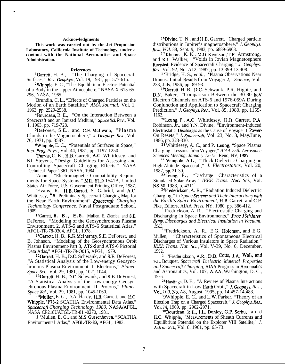# **Acknowledgments**

.

**This work was carried out by the Jet Propulsion Laboratory, California Institute of Technology, under a contmct with the National Aeronautics and Space Administration.**

# **References**

lGarrett, H. B., "The Charging of Spacecraft Surfaces," *Rev. Geophys.,* Vol. 19, 1981, pp. 577-616.

2Whipple, E. C., "The Equilibrium Electric Potential of a Body in the Upper Atmosphere," NASA X-615-65- 296, NASA, 1965.

<sup>3</sup>Brundin, C. **L.**, "Effects of Charged Particles on the Motion of an Earth Satellite," *AMA Journal,* Vol. 1, 1963, pp. 2529-2538.

<sup>4</sup>Bourdeau, R. E., "On the Interaction Between a Spacecraft and an Ionized Medium," *@ace Sci. Rev.,* Vol. 1, 1963, pp. 719-728.

5DeForest, S.E., and C.E. McIlwain, "Plasma Clouds in the Magnetosphere," *J. Geophys. Res.,* Vol. 76, 1971, pp. 3587.

6Whipple, E. C., "Potentials of Surfaces in Space," *Rep. Prog. Phys.,* Vol. 44, 1981, pp. 1197-1250.

7Purvis, C. K., H.B. Garrett, A.C. Whittlesey, and NJ. Stevens, "Design Guidelines for Assessing and Controlling Spacecraft Charging Effects," NASA Technical Paper 2361, NASA, 1984.

'Anon., "Electromagnetic Compatibility Requirements for Space Systems," MIL-STD 1541A, United States Air Force, U.S. Government Printing Office, 1987.

'Evans, R., H.B. Garrett, S. Gabriel, and A.C. Whittlesey, **"A** Preliminary Spacecraft Charging Map for the Near Earth Environment" *Spacecrajl Charging Technology Conference,* Naval Postgraduate School, 1989.

1 'Garrett, **H. B., E.G.** Mullen, E. Ziemba, and S.E. DeForest, "Modeling of the Geosynchronous Plasma Environment, 2, ATS-5 and ATS-6 Statistical Atlas," AFGL-TR-78-0304, AFGL, 1978.

<sup>1</sup> lGarrett, H. B., R.E. McInemey, S.E. DeForest, and B. Johnson, "Modeling of the Geosynchronous Orbit Plasma Environment-Part 3, ATS-5 and ATS-6 Pictorial Data Atlas," AFGL-TR-79-O015, AFGL, 1979.

12Garrett, H. B., D.C. Schwank, and S.E. DeForest, "A Statistical Analysis of the Low-energy Geosynchronous Plasma Environment--I. Electrons," *Planet. Space Sci.,* Vol. 29, 1981, pp. 1021-1044.

<sup>13</sup>Garrett, H. B., D.C. Schwank, and S.E. DeForest, "A Statistical Analysis of the Low-energy Geosynchronous Plasma Environment--II. Protons," *Planet. Space Sci.,* Vol. 29, 1981, pp. 1045-1060.

14Mullen, E. G., D.A. Hardy, H.B. Garrett, and E.C. Whipple, "P78-2 SCATHA Environmental Data Atlas," *Spacecrajl Charging Technology 1980,* NASAIAFGL, NASA CP218UAFGL-TR-81 -0270, 1981.

J 'Mullen, E. G., and M.S. Gussenhoven, "SCATHA Environmental Atlas," AFGL-TR-83, AFGL, 1983.

<sup>1</sup> 'Divine, T. N., and H.B. Garrett, "Charged particle distributions in Jupiter's magnetosphere," *J. Geophys. Res., VOL* 88, Sept. 9, 1983, pp. 6889-6903.

 $17$  Khurana,  $\hat{K}$ . K., M.G. Kivelson, T.P. Armstrong, and R.J. Walker, "Voids in Jovian Magnetosphere Revisted: Evidence of Spacecraft Charging," *J. Geophys. Res.,* Vol. 92, No. A12, 1987, pp. 13,399-13,408.

1 'Bridge, H. S., er *al.,* "Plasma Observations Near Uranus: Initial Results from Voyager 2," Science, Vol. 233, July, 1986, pp. 89-93.

19Garrett, H. B., D.C. Schwank, P.R. Higbie, and D.N. Baker, "Comparison Between the 30-80 keV Electron Channels on ATS-6 and 1976-059A During Conjunction and Application to Spacecraft Charging Prediction," *J. Geophys. Res.,* Vol. 85, 1980, pp. 1155- 1162.

<sup>20</sup>Leung, P., A.C. Whittlesey, H.B. Garrett, P.A. Robinson, Jr., and T.N. Divine, "Environment-Induced Electrostatic Discharges as the Cause of Voyager 1 Power-On Resets," *J. Spacecraji,* Vol. 23, No. 3, May/June, 1986, pp. 323-330.

<sup>21</sup> Whittlesey, A. C., and P. Leung, "Space Plasma" Charging--Lessons fri)m Voyager," *AIAA 25th Aerospace Sciences Meeting, January 12-15,* Reno, NV, 1987.

<sup>2</sup> Vampola, A.L., "Thick Dielectric Charging on High-Altitude Spacecraft," *J. Electrostatics,* Vol. 20,

1987, pp. 21-30.<br> $^{23}$ Leung, P., "Discharge Characteristics of a Simulated Solar Array," *IEEE Trans. Nucl. Sci.,* Vol. NS-30, 1983, p. 4311.

<sup>24</sup>Frederickson, A. R., "Radiation Induced Dielectric Charging," in *Space Systems and Their Interactions with the Earth's Space Environment,* H.B. Garrett and C.P. Pike, Editors, AIAA Press, NY, 1980, pp. 386-412.

'Fredrickson, A. R., "Electrostatic Charging and Discharging in Space Environments," *Proc. Ioth Inter.* Symp. Discharges and Electrical Insulation in Vacuum, *1983.*

<sup>2</sup>"Fredrickson, A. R., E.G. Holeman, and E.G. Mullen, "Characteristics of Spontaneous Electrical Discharges of Various Insulators in Space Radiation," *IEEE Trans. Nut. Sci.,* Vol. V-39, No. 6, December, 1992.

<sup>2</sup> <sup>7</sup>Frederickson, A.R., D.B. Cotts, J.A. Wall, and F.L. Bouquet, *Spacecraft Dielectric Material Properties and Spacecraft Charging,* AIAA Progress in Aeronuatics and Astronautics, Vol. 107, AIAA, Washington, D. C., 1986.

2sHastings, D. E., "A Review of Plasma Interactions with Spacecraft in Low Earth Orbit," J. Geophys. Res., *Vol. 100,* No. A8, August, 1995, pp. 14,457-14,483.

2 9Whipple, E. C., and L.W. Parker, "Theory of an Election Trap on a Charged Spacecraft," *J. Geophys. Res., Vol.* 74, 1969, pp. 2962-2971.

<sup>30</sup>Bourdeau, R.E., J.L. Donley, G.P. Serbu, and E.C. Whipple, "Measurements of Sheath Currents and Equilibrium Potential on the Explorer VIII Satellite," *J. Astron. Sci.,* Vol. 8, 1961, pp. 65-73.